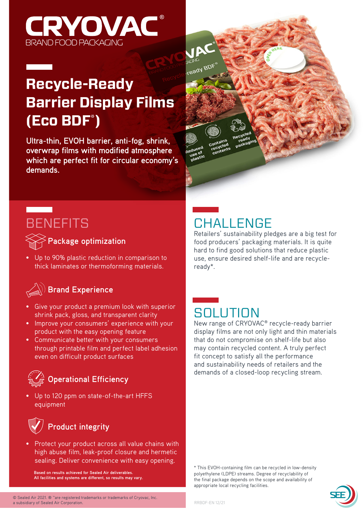

## **Recycle-Ready Barrier Display Films (Eco BDF\* )**

**Ultra-thin, EVOH barrier, anti-fog, shrink, overwrap films with modified atmosphere which are perfect fit for circular economy's demands.**



## **BENEFITS**

**Contract Contract** 

**Package optimization**

• Up to 90% plastic reduction in comparison to thick laminates or thermoforming materials.

#### **Brand Experience**

- Give your product a premium look with superior shrink pack, gloss, and transparent clarity
- Improve your consumers' experience with your product with the easy opening feature
- Communicate better with your consumers through printable film and perfect label adhesion even on difficult product surfaces

### $\frac{\gamma_{\lambda}}{\mathcal{I}}$  Operational Efficiency

• Up to 120 ppm on state-of-the-art HFFS equipment



• Protect your product across all value chains with high abuse film, leak-proof closure and hermetic sealing. Deliver convenience with easy opening.

**Based on results achieved for Sealed Air deliverables. All facilities and systems are different, so results may vary.**



## **CHALLENGE**

Retailers' sustainability pledges are a big test for food producers' packaging materials. It is quite hard to find good solutions that reduce plastic use, ensure desired shelf-life and are recycleready\*.

## **SOLUTION**

New range of CRYOVAC® recycle-ready barrier display films are not only light and thin materials that do not compromise on shelf-life but also may contain recycled content. A truly perfect fit concept to satisfy all the performance and sustainability needs of retailers and the demands of a closed-loop recycling stream.

\* This EVOH-containing film can be recycled in low-density polyethylene (LDPE) streams. Degree of recyclability of the final package depends on the scope and availability of appropriate local recycling facilities.